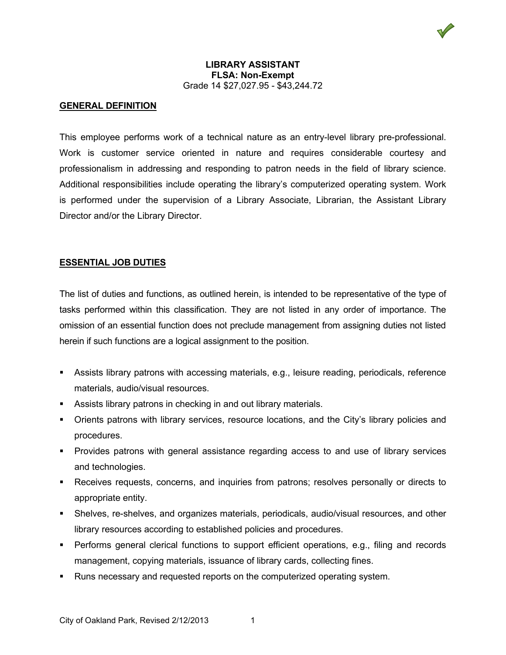#### **LIBRARY ASSISTANT FLSA: Non-Exempt** Grade 14 \$27,027.95 - \$43,244.72

## **GENERAL DEFINITION**

This employee performs work of a technical nature as an entry-level library pre-professional. Work is customer service oriented in nature and requires considerable courtesy and professionalism in addressing and responding to patron needs in the field of library science. Additional responsibilities include operating the library's computerized operating system. Work is performed under the supervision of a Library Associate, Librarian, the Assistant Library Director and/or the Library Director.

# **ESSENTIAL JOB DUTIES**

The list of duties and functions, as outlined herein, is intended to be representative of the type of tasks performed within this classification. They are not listed in any order of importance. The omission of an essential function does not preclude management from assigning duties not listed herein if such functions are a logical assignment to the position.

- Assists library patrons with accessing materials, e.g., leisure reading, periodicals, reference materials, audio/visual resources.
- **Assists library patrons in checking in and out library materials.**
- Orients patrons with library services, resource locations, and the City's library policies and procedures.
- Provides patrons with general assistance regarding access to and use of library services and technologies.
- Receives requests, concerns, and inquiries from patrons; resolves personally or directs to appropriate entity.
- Shelves, re-shelves, and organizes materials, periodicals, audio/visual resources, and other library resources according to established policies and procedures.
- **Performs general clerical functions to support efficient operations, e.g., filing and records** management, copying materials, issuance of library cards, collecting fines.
- Runs necessary and requested reports on the computerized operating system.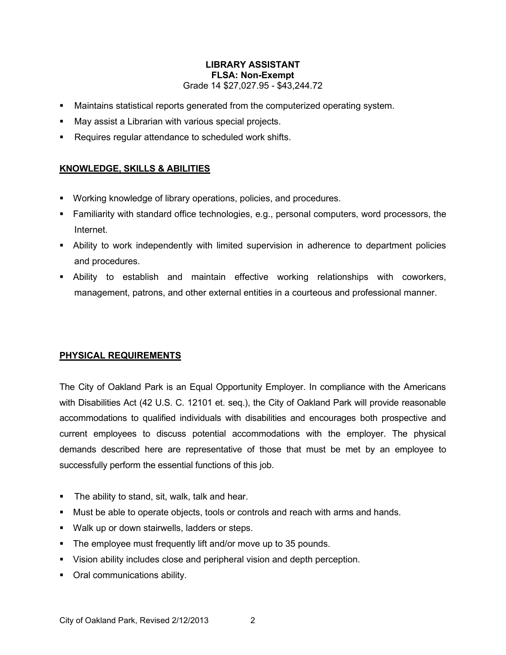### **LIBRARY ASSISTANT FLSA: Non-Exempt** Grade 14 \$27,027.95 - \$43,244.72

- Maintains statistical reports generated from the computerized operating system.
- May assist a Librarian with various special projects.
- Requires regular attendance to scheduled work shifts.

# **KNOWLEDGE, SKILLS & ABILITIES**

- Working knowledge of library operations, policies, and procedures.
- Familiarity with standard office technologies, e.g., personal computers, word processors, the Internet.
- Ability to work independently with limited supervision in adherence to department policies and procedures.
- Ability to establish and maintain effective working relationships with coworkers, management, patrons, and other external entities in a courteous and professional manner.

### **PHYSICAL REQUIREMENTS**

The City of Oakland Park is an Equal Opportunity Employer. In compliance with the Americans with Disabilities Act (42 U.S. C. 12101 et. seq.), the City of Oakland Park will provide reasonable accommodations to qualified individuals with disabilities and encourages both prospective and current employees to discuss potential accommodations with the employer. The physical demands described here are representative of those that must be met by an employee to successfully perform the essential functions of this job.

- **The ability to stand, sit, walk, talk and hear.**
- Must be able to operate objects, tools or controls and reach with arms and hands.
- **Walk up or down stairwells, ladders or steps.**
- The employee must frequently lift and/or move up to 35 pounds.
- Vision ability includes close and peripheral vision and depth perception.
- Oral communications ability.